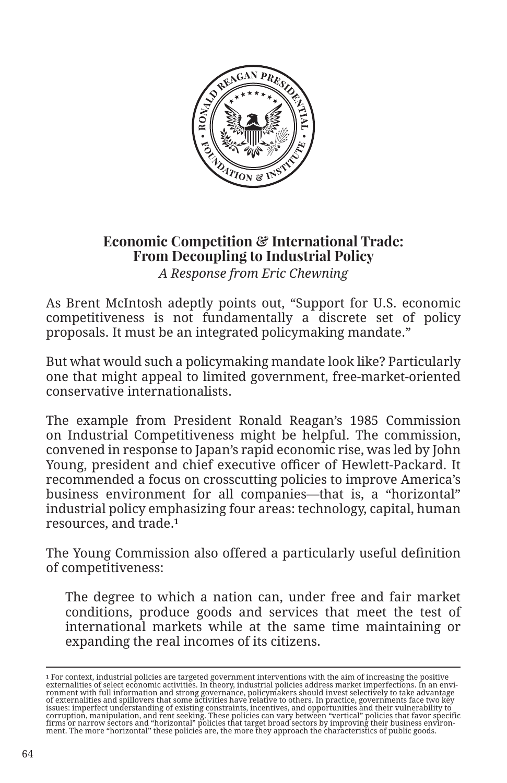

## **Economic Competition & International Trade: From Decoupling to Industrial Policy**  *A Response from Eric Chewning*

As Brent McIntosh adeptly points out, "Support for U.S. economic competitiveness is not fundamentally a discrete set of policy proposals. It must be an integrated policymaking mandate."

But what would such a policymaking mandate look like? Particularly one that might appeal to limited government, free-market-oriented conservative internationalists.

The example from President Ronald Reagan's 1985 Commission on Industrial Competitiveness might be helpful. The commission, convened in response to Japan's rapid economic rise, was led by John Young, president and chief executive officer of Hewlett-Packard. It recommended a focus on crosscutting policies to improve America's business environment for all companies—that is, a "horizontal" industrial policy emphasizing four areas: technology, capital, human resources, and trade.**<sup>1</sup>**

The Young Commission also offered a particularly useful definition of competitiveness:

The degree to which a nation can, under free and fair market conditions, produce goods and services that meet the test of international markets while at the same time maintaining or expanding the real incomes of its citizens.

<sup>&</sup>lt;sup>1</sup> For context, industrial policies are targeted government interventions with the aim of increasing the positive sternalities of select economic activities. In theory, industrial policies adtress market imperfections. In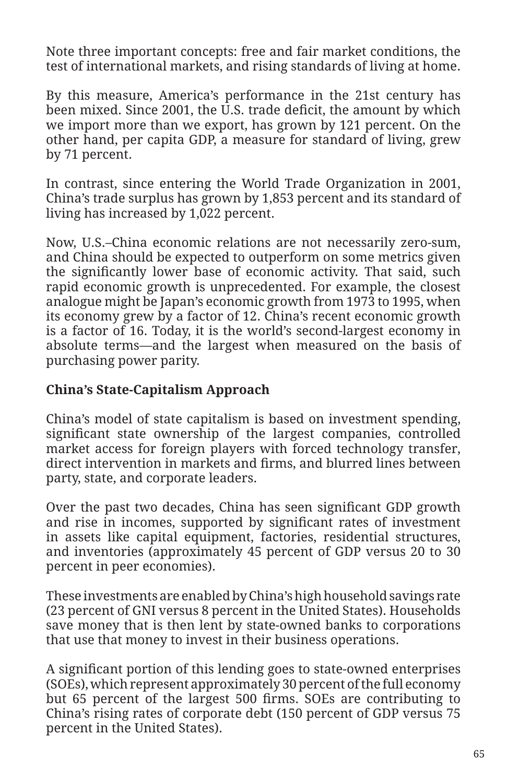Note three important concepts: free and fair market conditions, the test of international markets, and rising standards of living at home.

By this measure, America's performance in the 21st century has been mixed. Since 2001, the U.S. trade deficit, the amount by which we import more than we export, has grown by 121 percent. On the other hand, per capita GDP, a measure for standard of living, grew by 71 percent.

In contrast, since entering the World Trade Organization in 2001, China's trade surplus has grown by 1,853 percent and its standard of living has increased by 1,022 percent.

Now, U.S.–China economic relations are not necessarily zero-sum, and China should be expected to outperform on some metrics given the significantly lower base of economic activity. That said, such rapid economic growth is unprecedented. For example, the closest analogue might be Japan's economic growth from 1973 to 1995, when its economy grew by a factor of 12. China's recent economic growth is a factor of 16. Today, it is the world's second-largest economy in absolute terms—and the largest when measured on the basis of purchasing power parity.

## **China's State-Capitalism Approach**

China's model of state capitalism is based on investment spending, significant state ownership of the largest companies, controlled market access for foreign players with forced technology transfer, direct intervention in markets and firms, and blurred lines between party, state, and corporate leaders.

Over the past two decades, China has seen significant GDP growth and rise in incomes, supported by significant rates of investment in assets like capital equipment, factories, residential structures, and inventories (approximately 45 percent of GDP versus 20 to 30 percent in peer economies).

These investments are enabled by China's high household savings rate (23 percent of GNI versus 8 percent in the United States). Households save money that is then lent by state-owned banks to corporations that use that money to invest in their business operations.

A significant portion of this lending goes to state-owned enterprises (SOEs), which represent approximately 30 percent of the full economy but 65 percent of the largest 500 firms. SOEs are contributing to China's rising rates of corporate debt (150 percent of GDP versus 75 percent in the United States).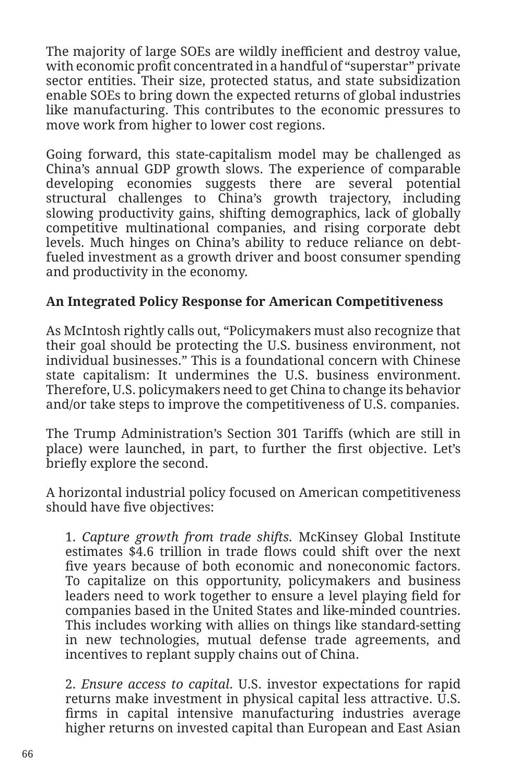The majority of large SOEs are wildly inefficient and destroy value, with economic profit concentrated in a handful of "superstar" private sector entities. Their size, protected status, and state subsidization enable SOEs to bring down the expected returns of global industries like manufacturing. This contributes to the economic pressures to move work from higher to lower cost regions.

Going forward, this state-capitalism model may be challenged as China's annual GDP growth slows. The experience of comparable developing economies suggests there are several potential structural challenges to China's growth trajectory, including slowing productivity gains, shifting demographics, lack of globally competitive multinational companies, and rising corporate debt levels. Much hinges on China's ability to reduce reliance on debtfueled investment as a growth driver and boost consumer spending and productivity in the economy.

## **An Integrated Policy Response for American Competitiveness**

As McIntosh rightly calls out, "Policymakers must also recognize that their goal should be protecting the U.S. business environment, not individual businesses." This is a foundational concern with Chinese state capitalism: It undermines the U.S. business environment. Therefore, U.S. policymakers need to get China to change its behavior and/or take steps to improve the competitiveness of U.S. companies.

The Trump Administration's Section 301 Tariffs (which are still in place) were launched, in part, to further the first objective. Let's briefly explore the second.

A horizontal industrial policy focused on American competitiveness should have five objectives:

1. *Capture growth from trade shifts.* McKinsey Global Institute estimates \$4.6 trillion in trade flows could shift over the next five years because of both economic and noneconomic factors. To capitalize on this opportunity, policymakers and business leaders need to work together to ensure a level playing field for companies based in the United States and like-minded countries. This includes working with allies on things like standard-setting in new technologies, mutual defense trade agreements, and incentives to replant supply chains out of China.

2. *Ensure access to capital*. U.S. investor expectations for rapid returns make investment in physical capital less attractive. U.S. firms in capital intensive manufacturing industries average higher returns on invested capital than European and East Asian